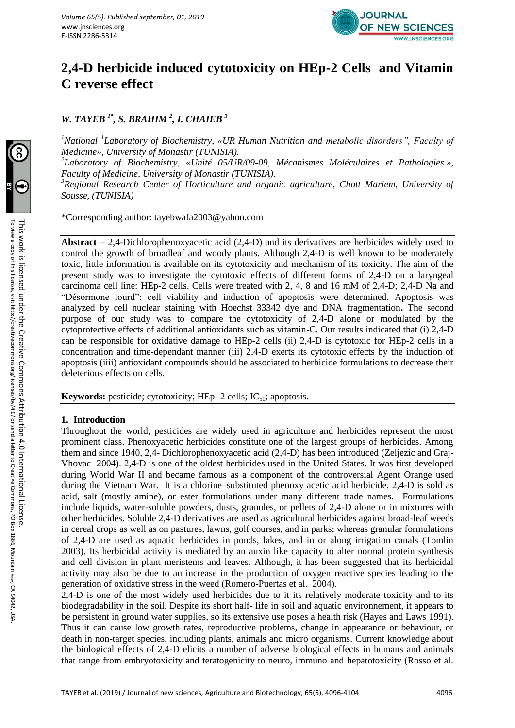

# **2,4-D herbicide induced cytotoxicity on HEp-2 Cells and Vitamin C reverse effect**

*W. TAYEB 1\* , S. BRAHIM <sup>2</sup> , I. CHAIEB <sup>3</sup>*

<sup>1</sup> National <sup>1</sup> Laboratory of Biochemistry, «UR Human Nutrition and metabolic disorders", Faculty of *Medicine», University of Monastir (TUNISIA).*

*2 Laboratory of Biochemistry, «Unité 05/UR/09-09, Mécanismes Moléculaires et Pathologies », Faculty of Medicine, University of Monastir (TUNISIA).*

*<sup>3</sup>Regional Research Center of Horticulture and organic agriculture, Chott Mariem, University of Sousse, (TUNISIA)*

\*Corresponding author: [tayebwafa2003@yahoo.com](mailto:tayebwafa2003@yahoo.com)

**Abstract –** 2,4-Dichlorophenoxyacetic acid (2,4-D) and its derivatives are herbicides widely used to control the growth of broadleaf and woody plants. Although 2,4-D is well known to be moderately toxic, little information is available on its cytotoxicity and mechanism of its toxicity. The aim of the present study was to investigate the cytotoxic effects of different forms of 2,4-D on a laryngeal carcinoma cell line: HEp-2 cells. Cells were treated with 2, 4, 8 and 16 mM of 2,4-D; 2,4-D Na and "Désormone lourd"; cell viability and induction of apoptosis were determined. Apoptosis was analyzed by cell nuclear staining with Hoechst 33342 dye and DNA fragmentation**.** The second purpose of our study was to compare the cytotoxicity of 2,4-D alone or modulated by the cytoprotective effects of additional antioxidants such as vitamin-C. Our results indicated that (i) 2,4-D can be responsible for oxidative damage to HEp-2 cells (ii) 2,4-D is cytotoxic for HEp-2 cells in a concentration and time-dependant manner (iii) 2,4-D exerts its cytotoxic effects by the induction of apoptosis (iiii) antioxidant compounds should be associated to herbicide formulations to decrease their deleterious effects on cells.

**Keywords:** pesticide; cytotoxicity; HEp- 2 cells;  $IC_{50}$ ; apoptosis.

# **1. Introduction**

Throughout the world, pesticides are widely used in agriculture and herbicides represent the most prominent class. Phenoxyacetic herbicides constitute one of the largest groups of herbicides. Among them and since 1940, 2,4- Dichlorophenoxyacetic acid (2,4-D) has been introduced (Zeljezic and Graj-Vhovac 2004). 2,4-D is one of the oldest herbicides used in the United States. It was first developed during World War II and became famous as a component of the controversial Agent Orange used during the Vietnam War. It is a chlorine–substituted phenoxy acetic acid herbicide. 2,4-D is sold as acid, salt (mostly amine), or ester formulations under many different trade names. Formulations include liquids, water-soluble powders, dusts, granules, or pellets of 2,4-D alone or in mixtures with other herbicides. Soluble 2,4-D derivatives are used as agricultural herbicides against broad-leaf weeds in cereal crops as well as on pastures, lawns, golf courses, and in parks; whereas granular formulations of 2,4-D are used as aquatic herbicides in ponds, lakes, and in or along irrigation canals (Tomlin 2003). Its herbicidal activity is mediated by an auxin like capacity to alter normal protein synthesis and cell division in plant meristems and leaves. Although, it has been suggested that its herbicidal activity may also be due to an increase in the production of oxygen reactive species leading to the generation of oxidative stress in the weed (Romero-Puertas et al. 2004).

2,4-D is one of the most widely used herbicides due to it its relatively moderate toxicity and to its biodegradability in the soil. Despite its short half- life in soil and aquatic environnement, it appears to be persistent in ground water supplies, so its extensive use poses a health risk (Hayes and Laws 1991). Thus it can cause low growth rates, reproductive problems, change in appearance or behaviour, or death in non-target species, including plants, animals and micro organisms. Current knowledge about the biological effects of 2,4-D elicits a number of adverse biological effects in humans and animals that range from embryotoxicity and teratogenicity to neuro, immuno and hepatotoxicity (Rosso et al.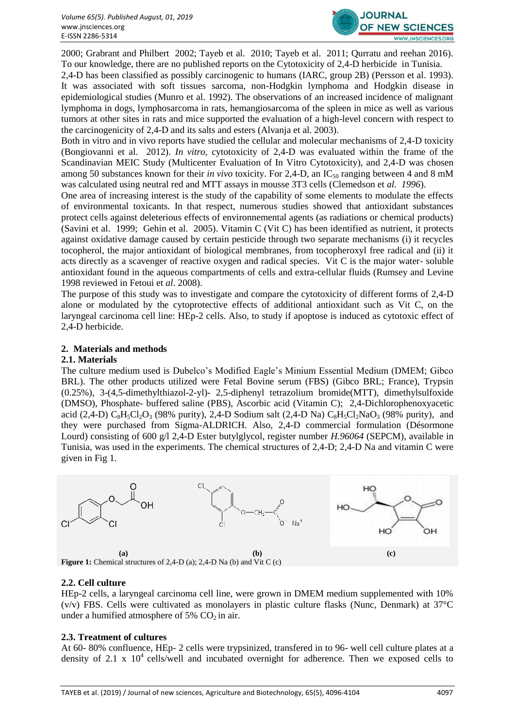

2000; Grabrant and Philbert 2002; Tayeb et al. 2010; Tayeb et al. 2011; Qurratu and reehan 2016). To our knowledge, there are no published reports on the Cytotoxicity of 2,4-D herbicide in Tunisia.

2,4-D has been classified as possibly carcinogenic to humans (IARC, group 2B) (Persson et al. 1993). It was associated with soft tissues sarcoma, non-Hodgkin lymphoma and Hodgkin disease in epidemiological studies (Munro et al. 1992). The observations of an increased incidence of malignant lymphoma in dogs, lymphosarcoma in rats, hemangiosarcoma of the spleen in mice as well as various tumors at other sites in rats and mice supported the evaluation of a high-level concern with respect to the carcinogenicity of 2,4-D and its salts and esters (Alvanja et al. 2003).

Both in vitro and in vivo reports have studied the cellular and molecular mechanisms of 2,4-D toxicity (Bongiovanni et al. 2012). *In vitro,* cytotoxicity of 2,4-D was evaluated within the frame of the Scandinavian MEIC Study (Multicenter Evaluation of In Vitro Cytotoxicity), and 2,4-D was chosen among 50 substances known for their *in vivo* toxicity. For 2,4-D, an IC<sub>50</sub> ranging between 4 and 8 mM was calculated using neutral red and MTT assays in mousse 3T3 cells (Clemedson et *al. 1996*).

One area of increasing interest is the study of the capability of some elements to modulate the effects of environmental toxicants. In that respect, numerous studies showed that antioxidant substances protect cells against deleterious effects of environnemental agents (as radiations or chemical products) (Savini et al. 1999; Gehin et al. 2005). Vitamin C (Vit C) has been identified as nutrient, it protects against oxidative damage caused by certain pesticide through two separate mechanisms (i) it recycles tocopherol, the major antioxidant of biological membranes, from tocopheroxyl free radical and (ii) it acts directly as a scavenger of reactive oxygen and radical species. Vit C is the major water- soluble antioxidant found in the aqueous compartments of cells and extra-cellular fluids (Rumsey and Levine 1998 reviewed in Fetoui et *al*. 2008).

The purpose of this study was to investigate and compare the cytotoxicity of different forms of 2,4-D alone or modulated by the cytoprotective effects of additional antioxidant such as Vit C, on the laryngeal carcinoma cell line: HEp-2 cells. Also, to study if apoptose is induced as cytotoxic effect of 2,4-D herbicide.

## **2. Materials and methods**

#### **2.1. Materials**

The culture medium used is Dubelco's Modified Eagle's Minium Essential Medium (DMEM; Gibco BRL). The other products utilized were Fetal Bovine serum (FBS) (Gibco BRL; France), Trypsin (0.25%), 3-(4,5-dimethylthiazol-2-yl)- 2,5-diphenyl tetrazolium bromide(MTT), dimethylsulfoxide (DMSO), Phosphate- buffered saline (PBS), Ascorbic acid (Vitamin C); 2,4-Dichlorophenoxyacetic acid (2,4-D)  $C_8H_5Cl_2O_3$  (98% purity), 2,4-D Sodium salt (2,4-D Na)  $C_8H_5Cl_2NaO_3$  (98% purity), and they were purchased from Sigma-ALDRICH. Also, 2,4-D commercial formulation (Désormone Lourd) consisting of 600 g/l 2,4-D Ester butylglycol, register number *H.96064* (SEPCM), available in Tunisia, was used in the experiments. The chemical structures of 2,4-D; 2,4-D Na and vitamin C were given in Fig 1.



# **2.2. Cell culture**

HEp-2 cells, a laryngeal carcinoma cell line, were grown in DMEM medium supplemented with 10%  $(v/v)$  FBS. Cells were cultivated as monolayers in plastic culture flasks (Nunc, Denmark) at 37 $\degree$ C under a humified atmosphere of 5%  $CO<sub>2</sub>$  in air.

# **2.3. Treatment of cultures**

At 60- 80% confluence, HEp- 2 cells were trypsinized, transfered in to 96- well cell culture plates at a density of 2.1 x  $10^4$  cells/well and incubated overnight for adherence. Then we exposed cells to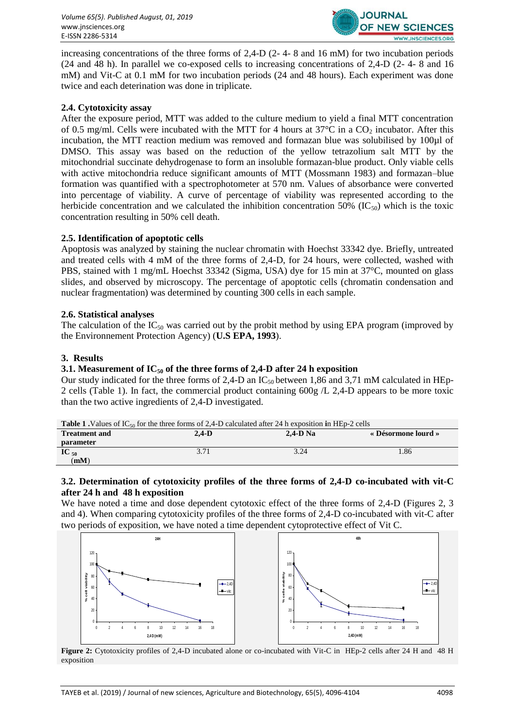

increasing concentrations of the three forms of 2,4-D (2- 4- 8 and 16 mM) for two incubation periods (24 and 48 h). In parallel we co-exposed cells to increasing concentrations of 2,4-D (2- 4- 8 and 16 mM) and Vit-C at 0.1 mM for two incubation periods (24 and 48 hours). Each experiment was done twice and each deterination was done in triplicate.

## **2.4. Cytotoxicity assay**

After the exposure period, MTT was added to the culture medium to yield a final MTT concentration of 0.5 mg/ml. Cells were incubated with the MTT for 4 hours at  $37^{\circ}$ C in a CO<sub>2</sub> incubator. After this incubation, the MTT reaction medium was removed and formazan blue was solubilised by 100µl of DMSO. This assay was based on the reduction of the yellow tetrazolium salt MTT by the mitochondrial succinate dehydrogenase to form an insoluble formazan-blue product. Only viable cells with active mitochondria reduce significant amounts of MTT (Mossmann 1983) and formazan–blue formation was quantified with a spectrophotometer at 570 nm. Values of absorbance were converted into percentage of viability. A curve of percentage of viability was represented according to the herbicide concentration and we calculated the inhibition concentration 50% (IC $_{50}$ ) which is the toxic concentration resulting in 50% cell death.

## **2.5. Identification of apoptotic cells**

Apoptosis was analyzed by staining the nuclear chromatin with Hoechst 33342 dye. Briefly, untreated and treated cells with 4 mM of the three forms of 2,4-D, for 24 hours, were collected, washed with PBS, stained with 1 mg/mL Hoechst 33342 (Sigma, USA) dye for 15 min at 37°C, mounted on glass slides, and observed by microscopy. The percentage of apoptotic cells (chromatin condensation and nuclear fragmentation) was determined by counting 300 cells in each sample.

## **2.6. Statistical analyses**

The calculation of the  $IC_{50}$  was carried out by the probit method by using EPA program (improved by the Environnement Protection Agency) (**U.S EPA, 1993**).

## **3. Results**

### **3.1. Measurement of IC<sup>50</sup> of the three forms of 2,4-D after 24 h exposition**

Our study indicated for the three forms of 2,4-D an  $IC_{50}$  between 1,86 and 3,71 mM calculated in HEp-2 cells (Table 1). In fact, the commercial product containing 600g /L 2,4-D appears to be more toxic than the two active ingredients of 2,4-D investigated.

|                      |       | <b>Table 1.</b> Values of IC <sub>50</sub> for the three forms of 2.4-D calculated after 24 h exposition in HEp-2 cells |                     |
|----------------------|-------|-------------------------------------------------------------------------------------------------------------------------|---------------------|
| <b>Treatment and</b> | 2.4-D | $2.4-D$ Na                                                                                                              | « Désormone lourd » |

|                    |                    | .                                |      |
|--------------------|--------------------|----------------------------------|------|
| <i>parameter</i>   |                    |                                  |      |
| $\textbf{IC}_{50}$ | $\bigcap$<br>J I I | 20 <sup>1</sup><br>$J. \angle T$ | 1.86 |
| (mM)               |                    |                                  |      |
|                    |                    |                                  |      |

## **3.2. Determination of cytotoxicity profiles of the three forms of 2,4-D co-incubated with vit-C after 24 h and 48 h exposition**

We have noted a time and dose dependent cytotoxic effect of the three forms of 2,4-D (Figures 2, 3 and 4). When comparing cytotoxicity profiles of the three forms of 2,4-D co-incubated with vit-C after two periods of exposition, we have noted a time dependent cytoprotective effect of Vit C.



**Figure 2:** Cytotoxicity profiles of 2,4-D incubated alone or co-incubated with Vit-C in HEp-2 cells after 24 H and 48 H exposition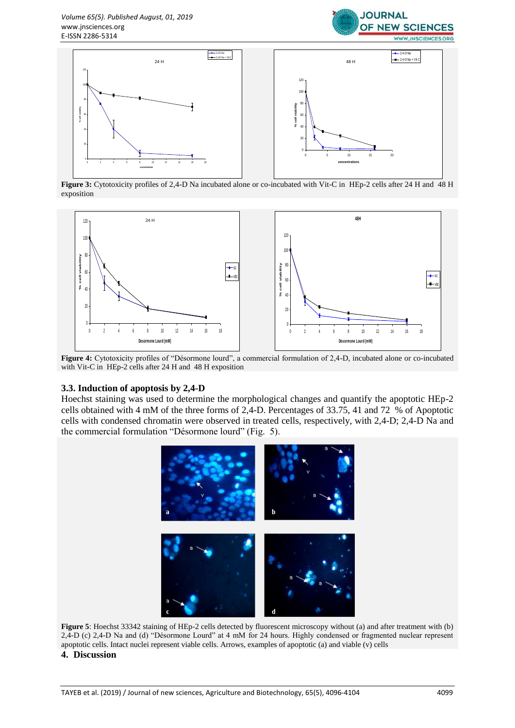



**Figure 3:** Cytotoxicity profiles of 2,4-D Na incubated alone or co-incubated with Vit-C in HEp-2 cells after 24 H and 48 H exposition



**Figure 4:** Cytotoxicity profiles of "Désormone lourd", a commercial formulation of 2,4-D, incubated alone or co-incubated with Vit-C in HEp-2 cells after 24 H and 48 H exposition

#### **3.3. Induction of apoptosis by 2,4-D**

Hoechst staining was used to determine the morphological changes and quantify the apoptotic HEp-2 cells obtained with 4 mM of the three forms of 2,4-D. Percentages of 33.75, 41 and 72 % of Apoptotic cells with condensed chromatin were observed in treated cells, respectively, with 2,4-D; 2,4-D Na and the commercial formulation "Désormone lourd" (Fig. 5).



**Figure 5**: Hoechst 33342 staining of HEp-2 cells detected by fluorescent microscopy without (a) and after treatment with (b) 2,4-D (c) 2,4-D Na and (d) "Désormone Lourd" at 4 mM for 24 hours. Highly condensed or fragmented nuclear represent apoptotic cells. Intact nuclei represent viable cells. Arrows, examples of apoptotic (a) and viable (v) cells

#### **4. Discussion**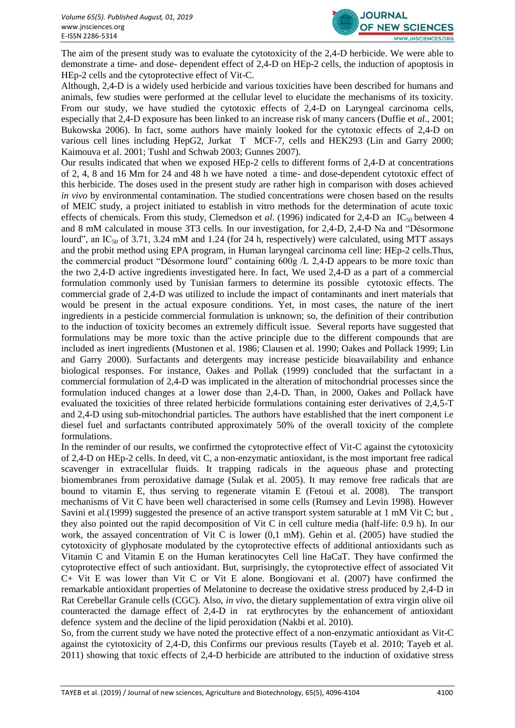

The aim of the present study was to evaluate the cytotoxicity of the 2,4-D herbicide. We were able to demonstrate a time- and dose- dependent effect of 2,4-D on HEp-2 cells, the induction of apoptosis in HEp-2 cells and the cytoprotective effect of Vit-C.

Although, 2,4-D is a widely used herbicide and various toxicities have been described for humans and animals, few studies were performed at the cellular level to elucidate the mechanisms of its toxicity. From our study, we have studied the cytotoxic effects of 2,4-D on Laryngeal carcinoma cells, especially that 2,4-D exposure has been linked to an increase risk of many cancers (Duffie et *al*., 2001; Bukowska 2006). In fact, some authors have mainly looked for the cytotoxic effects of 2,4-D on various cell lines including HepG2, Jurkat T MCF-7, cells and HEK293 (Lin and Garry 2000; Kaimouva et al. 2001; Tushl and Schwab 2003; Gunnes 2007).

Our results indicated that when we exposed HEp-2 cells to different forms of 2,4-D at concentrations of 2, 4, 8 and 16 Mm for 24 and 48 h we have noted a time- and dose-dependent cytotoxic effect of this herbicide. The doses used in the present study are rather high in comparison with doses achieved *in vivo* by environmental contamination. The studied concentrations were chosen based on the results of MEIC study, a project initiated to establish in vitro methods for the determination of acute toxic effects of chemicals. From this study, Clemedson et *al.* (1996) indicated for 2,4-D an IC<sub>50</sub> between 4 and 8 mM calculated in mouse 3T3 cells. In our investigation, for 2,4-D, 2,4-D Na and "Désormone lourd", an IC<sub>50</sub> of 3.71, 3.24 mM and 1.24 (for 24 h, respectively) were calculated, using MTT assays and the probit method using EPA program, in Human laryngeal carcinoma cell line: HEp-2 cells.Thus, the commercial product "Désormone lourd" containing 600g /L 2,4-D appears to be more toxic than the two 2,4-D active ingredients investigated here. In fact, We used 2,4-D as a part of a commercial formulation commonly used by Tunisian farmers to determine its possible cytotoxic effects. The commercial grade of 2,4-D was utilized to include the impact of contaminants and inert materials that would be present in the actual exposure conditions. Yet, in most cases, the nature of the inert ingredients in a pesticide commercial formulation is unknown; so, the definition of their contribution to the induction of toxicity becomes an extremely difficult issue. Several reports have suggested that formulations may be more toxic than the active principle due to the different compounds that are included as inert ingredients (Mustonen et al. 1986; Clausen et al. 1990; Oakes and Pollack 1999; Lin and Garry 2000). Surfactants and detergents may increase pesticide bioavailability and enhance biological responses. For instance, Oakes and Pollak (1999) concluded that the surfactant in a commercial formulation of 2,4-D was implicated in the alteration of mitochondrial processes since the formulation induced changes at a lower dose than 2,4-D**.** Than, in 2000, Oakes and Pollack have evaluated the toxicities of three related herbicide formulations containing ester derivatives of 2,4,5-T and 2,4-D using sub-mitochondrial particles. The authors have established that the inert component i.e diesel fuel and surfactants contributed approximately 50% of the overall toxicity of the complete formulations.

In the reminder of our results, we confirmed the cytoprotective effect of Vit-C against the cytotoxicity of 2,4-D on HEp-2 cells. In deed, vit C, a non-enzymatic antioxidant, is the most important free radical scavenger in extracellular fluids. It trapping radicals in the aqueous phase and protecting biomembranes from peroxidative damage (Sulak et al. 2005). It may remove free radicals that are bound to vitamin E, thus serving to regenerate vitamin E (Fetoui et al. 2008). The transport mechanisms of Vit C have been well characterised in some cells (Rumsey and Levin 1998). However Savini et al.(1999) suggested the presence of an active transport system saturable at 1 mM Vit C; but , they also pointed out the rapid decomposition of Vit C in cell culture media (half-life: 0.9 h). In our work, the assayed concentration of Vit C is lower (0,1 mM). Gehin et al. (2005) have studied the cytotoxicity of glyphosate modulated by the cytoprotective effects of additional antioxidants such as Vitamin C and Vitamin E on the Human keratinocytes Cell line HaCaT. They have confirmed the cytoprotective effect of such antioxidant. But, surprisingly, the cytoprotective effect of associated Vit C+ Vit E was lower than Vit C or Vit E alone. Bongiovani et al. (2007) have confirmed the remarkable antioxidant properties of Melatonine to decrease the oxidative stress produced by 2,4-D in Rat Cerebellar Granule cells (CGC). Also, *in vivo*, the dietary supplementation of extra virgin olive oil counteracted the damage effect of 2,4-D in rat erythrocytes by the enhancement of antioxidant defence system and the decline of the lipid peroxidation (Nakbi et al. 2010).

So, from the current study we have noted the protective effect of a non-enzymatic antioxidant as Vit-C against the cytotoxicity of 2,4-D, this Confirms our previous results (Tayeb et al. 2010; Tayeb et al. 2011) showing that toxic effects of 2,4-D herbicide are attributed to the induction of oxidative stress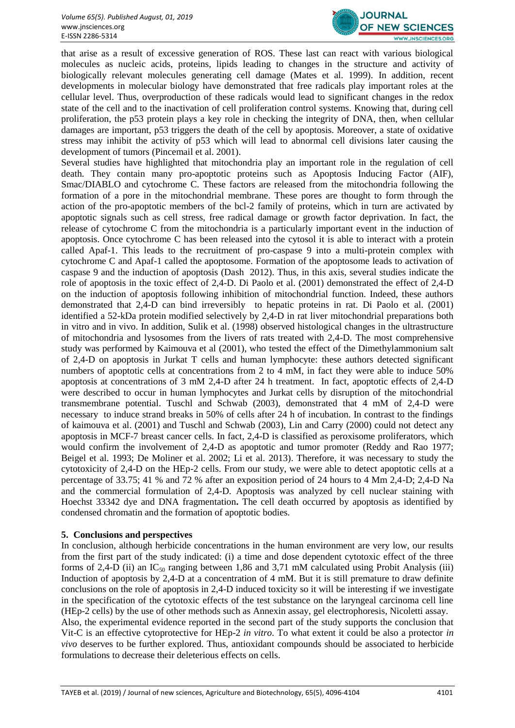

that arise as a result of excessive generation of ROS. These last can react with various biological molecules as nucleic acids, proteins, lipids leading to changes in the structure and activity of biologically relevant molecules generating cell damage (Mates et al. 1999). In addition, recent developments in molecular biology have demonstrated that free radicals play important roles at the cellular level. Thus, overproduction of these radicals would lead to significant changes in the redox state of the cell and to the inactivation of cell proliferation control systems. Knowing that, during cell proliferation, the p53 protein plays a key role in checking the integrity of DNA, then, when cellular damages are important, p53 triggers the death of the cell by apoptosis. Moreover, a state of oxidative stress may inhibit the activity of p53 which will lead to abnormal cell divisions later causing the development of tumors (Pincemail et al. 2001).

Several studies have highlighted that mitochondria play an important role in the regulation of cell death. They contain many pro-apoptotic proteins such as Apoptosis Inducing Factor (AIF), Smac/DIABLO and cytochrome C. These factors are released from the mitochondria following the formation of a pore in the mitochondrial membrane. These pores are thought to form through the action of the pro-apoptotic members of the bcl-2 family of proteins, which in turn are activated by apoptotic signals such as cell stress, free radical damage or growth factor deprivation. In fact, the release of cytochrome C from the mitochondria is a particularly important event in the induction of apoptosis. Once cytochrome C has been released into the cytosol it is able to interact with a protein called Apaf-1. This leads to the recruitment of pro-caspase 9 into a multi-protein complex with cytochrome C and Apaf-1 called the apoptosome. Formation of the apoptosome leads to activation of caspase 9 and the induction of apoptosis (Dash 2012). Thus, in this axis, several studies indicate the role of apoptosis in the toxic effect of 2,4-D. Di Paolo et al. (2001) demonstrated the effect of 2,4-D on the induction of apoptosis following inhibition of mitochondrial function. Indeed, these authors demonstrated that 2,4-D can bind irreversibly to hepatic proteins in rat. Di Paolo et al. (2001) identified a 52-kDa protein modified selectively by 2,4-D in rat liver mitochondrial preparations both in vitro and in vivo. In addition, Sulik et al. (1998) observed histological changes in the ultrastructure of mitochondria and lysosomes from the livers of rats treated with 2,4-D. The most comprehensive study was performed by Kaimouva et al (2001), who tested the effect of the Dimethylammonium salt of 2,4-D on apoptosis in Jurkat T cells and human lymphocyte: these authors detected significant numbers of apoptotic cells at concentrations from 2 to 4 mM, in fact they were able to induce 50% apoptosis at concentrations of 3 mM 2,4-D after 24 h treatment. In fact, apoptotic effects of 2,4-D were described to occur in human lymphocytes and Jurkat cells by disruption of the mitochondrial transmembrane potential. Tuschl and Schwab (2003), demonstrated that 4 mM of 2,4-D were necessary to induce strand breaks in 50% of cells after 24 h of incubation. In contrast to the findings of kaimouva et al. (2001) and Tuschl and Schwab (2003), Lin and Carry (2000) could not detect any apoptosis in MCF-7 breast cancer cells. In fact, 2,4-D is classified as peroxisome proliferators, which would confirm the involvement of 2,4-D as apoptotic and tumor promoter (Reddy and Rao 1977; Beigel et al. 1993; De Moliner et al. 2002; Li et al. 2013). Therefore, it was necessary to study the cytotoxicity of 2,4-D on the HEp-2 cells. From our study, we were able to detect apoptotic cells at a percentage of 33.75; 41 % and 72 % after an exposition period of 24 hours to 4 Mm 2,4-D; 2,4-D Na and the commercial formulation of 2,4-D. Apoptosis was analyzed by cell nuclear staining with Hoechst 33342 dye and DNA fragmentation**.** The cell death occurred by apoptosis as identified by condensed chromatin and the formation of apoptotic bodies.

#### **5. Conclusions and perspectives**

In conclusion, although herbicide concentrations in the human environment are very low, our results from the first part of the study indicated: (i) a time and dose dependent cytotoxic effect of the three forms of 2,4-D (ii) an IC<sub>50</sub> ranging between 1,86 and 3,71 mM calculated using Probit Analysis (iii) Induction of apoptosis by 2,4-D at a concentration of 4 mM. But it is still premature to draw definite conclusions on the role of apoptosis in 2,4-D induced toxicity so it will be interesting if we investigate in the specification of the cytotoxic effects of the test substance on the laryngeal carcinoma cell line (HEp-2 cells) by the use of other methods such as Annexin assay, gel electrophoresis, Nicoletti assay. Also, the experimental evidence reported in the second part of the study supports the conclusion that Vit-C is an effective cytoprotective for HEp-2 *in vitro*. To what extent it could be also a protector *in* 

*vivo* deserves to be further explored. Thus, antioxidant compounds should be associated to herbicide formulations to decrease their deleterious effects on cells.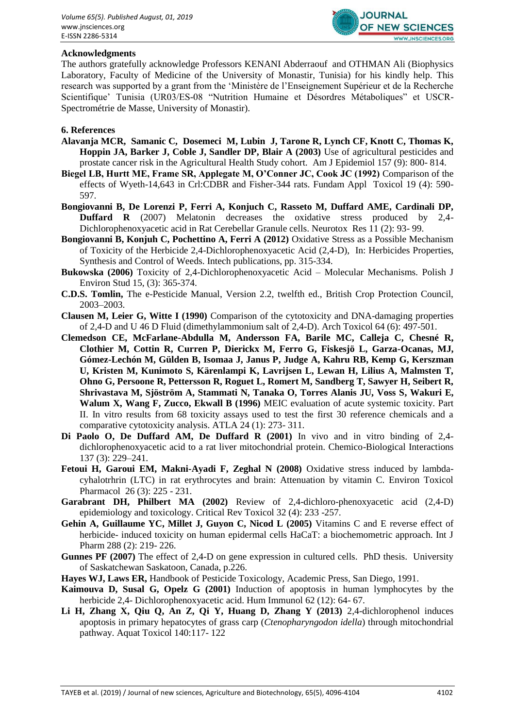

### **Acknowledgments**

The authors gratefully acknowledge Professors KENANI Abderraouf and OTHMAN Ali (Biophysics Laboratory, Faculty of Medicine of the University of Monastir, Tunisia) for his kindly help. This research was supported by a grant from the 'Ministère de l'Enseignement Supérieur et de la Recherche Scientifique' Tunisia (UR03/ES-08 "Nutrition Humaine et Désordres Métaboliques" et USCR-Spectrométrie de Masse, University of Monastir).

### **6. References**

- **Alavanja MCR, Samanic C, Dosemeci M, Lubin J, Tarone R, Lynch CF, Knott C, Thomas K, Hoppin JA, Barker J, Coble J, Sandler DP, Blair A (2003)** Use of agricultural pesticides and prostate cancer risk in the Agricultural Health Study cohort. Am J Epidemiol 157 (9): 800- 814.
- **Biegel LB, Hurtt ME, Frame SR, Applegate M, O'Conner JC, Cook JC (1992)** Comparison of the effects of Wyeth-14,643 in Crl:CDBR and Fisher-344 rats. Fundam Appl Toxicol 19 (4): 590- 597.
- **Bongiovanni B, De Lorenzi P, Ferri A, Konjuch C, Rasseto M, Duffard AME, Cardinali DP, Duffard R** (2007) Melatonin decreases the oxidative stress produced by 2,4- Dichlorophenoxyacetic acid in Rat Cerebellar Granule cells. Neurotox Res 11 (2): 93- 99.
- **Bongiovanni B, Konjuh C, Pochettino A, Ferri A (2012)** Oxidative Stress as a Possible Mechanism of Toxicity of the Herbicide 2,4-Dichlorophenoxyacetic Acid (2,4-D), In: Herbicides Properties, Synthesis and Control of Weeds. Intech publications, pp. 315-334.
- **Bukowska (2006)** Toxicity of 2,4-Dichlorophenoxyacetic Acid Molecular Mechanisms. Polish J Environ Stud 15, (3): 365-374.
- **C.D.S. Tomlin,** The e-Pesticide Manual, Version 2.2, twelfth ed., British Crop Protection Council, 2003–2003.
- **Clausen M, Leier G, Witte I (1990)** Comparison of the cytotoxicity and DNA-damaging properties of 2,4-D and U 46 D Fluid (dimethylammonium salt of 2,4-D). Arch Toxicol 64 (6): 497-501.
- **Clemedson CE, McFarlane-Abdulla M, Andersson FA, Barile MC, Calleja C, Chesné R, Clothier M, Cottin R, Curren P, Dierickx M, Ferro G, Fiskesjö L, Garza-Ocanas, MJ, Gómez-Lechón M, Gülden B, Isomaa J, Janus P, Judge A, Kahru RB, Kemp G, Kerszman U, Kristen M, Kunimoto S, Kärenlampi K, Lavrijsen L, Lewan H, Lilius A, Malmsten T, Ohno G, Persoone R, Pettersson R, Roguet L, Romert M, Sandberg T, Sawyer H, Seibert R, Shrivastava M, Sjöström A, Stammati N, Tanaka O, Torres Alanis JU, Voss S, Wakuri E, Walum X, Wang F, Zucco, Ekwall B (1996)** MEIC evaluation of acute systemic toxicity. Part II. In vitro results from 68 toxicity assays used to test the first 30 reference chemicals and a comparative cytotoxicity analysis. ATLA 24 (1): 273- 311.
- **Di Paolo O, De Duffard AM, De Duffard R (2001)** In vivo and in vitro binding of 2,4 dichlorophenoxyacetic acid to a rat liver mitochondrial protein. Chemico-Biological Interactions 137 (3): 229–241.
- **Fetoui H, Garoui EM, Makni-Ayadi F, Zeghal N (2008)** Oxidative stress induced by lambdacyhalotrhrin (LTC) in rat erythrocytes and brain: Attenuation by vitamin C. Environ Toxicol Pharmacol 26 (3): 225 - 231.
- **Garabrant DH, Philbert MA (2002)** Review of 2,4-dichloro-phenoxyacetic acid (2,4-D) epidemiology and toxicology. Critical Rev Toxicol 32 (4): 233 -257.
- **Gehin A, Guillaume YC, Millet J, Guyon C, Nicod L (2005)** Vitamins C and E reverse effect of herbicide- induced toxicity on human epidermal cells HaCaT: a biochemometric approach. Int J Pharm 288 (2): 219- 226.
- **Gunnes PF (2007)** The effect of 2,4-D on gene expression in cultured cells. PhD thesis. University of Saskatchewan Saskatoon, Canada, p.226.
- **Hayes WJ, Laws ER,** Handbook of Pesticide Toxicology, Academic Press, San Diego, 1991.
- **Kaimouva D, Susal G, Opelz G (2001)** Induction of apoptosis in human lymphocytes by the herbicide 2,4- Dichlorophenoxyacetic acid. Hum Immunol 62 (12): 64- 67.
- **Li H, Zhang X, Qiu Q, An Z, Qi Y, Huang D, Zhang Y (2013)** 2,4-dichlorophenol induces apoptosis in primary hepatocytes of grass carp (*Ctenopharyngodon idella*) through mitochondrial pathway. Aquat Toxicol 140:117- 122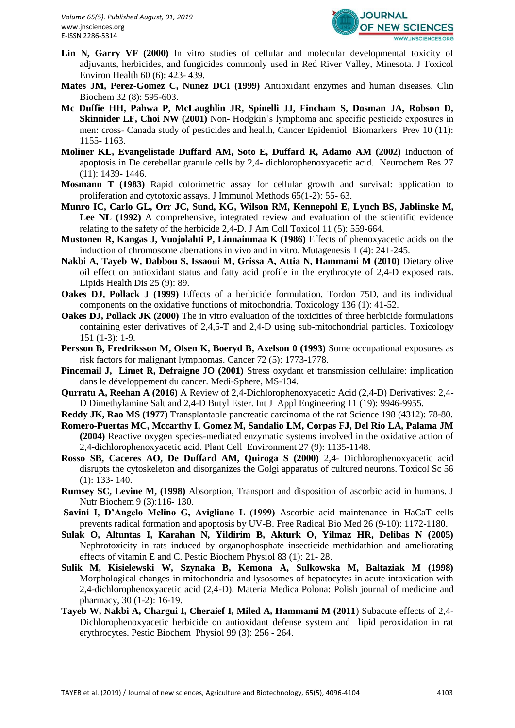

- Lin N, Garry VF (2000) In vitro studies of cellular and molecular developmental toxicity of adjuvants, herbicides, and fungicides commonly used in Red River Valley, Minesota. J Toxicol Environ Health 60 (6): 423- 439.
- **Mates JM, Perez-Gomez C, Nunez DCI (1999)** Antioxidant enzymes and human diseases. Clin Biochem 32 (8): 595-603.
- **Mc Duffie HH, Pahwa P, McLaughlin JR, Spinelli JJ, Fincham S, Dosman JA, Robson D, Skinnider LF, Choi NW (2001)** Non-Hodgkin's lymphoma and specific pesticide exposures in men: cross- Canada study of pesticides and health, Cancer Epidemiol Biomarkers Prev 10 (11): 1155- 1163.
- **Moliner KL, Evangelistade Duffard AM, Soto E, Duffard R, Adamo AM (2002)** Induction of apoptosis in De cerebellar granule cells by 2,4- dichlorophenoxyacetic acid. Neurochem Res 27 (11): 1439- 1446.
- **Mosmann T (1983)** Rapid colorimetric assay for cellular growth and survival: application to proliferation and cytotoxic assays. J Immunol Methods 65(1-2): 55- 63.
- **Munro IC, Carlo GL, Orr JC, Sund, KG, Wilson RM, Kennepohl E, Lynch BS, Jablinske M,**  Lee NL (1992) A comprehensive, integrated review and evaluation of the scientific evidence relating to the safety of the herbicide 2,4-D. J Am Coll Toxicol 11 (5): 559-664.
- **Mustonen R, Kangas J, Vuojolahti P, Linnainmaa K (1986)** Effects of phenoxyacetic acids on the induction of chromosome aberrations in vivo and in vitro. Mutagenesis 1 (4): 241-245.
- **Nakbi A, Tayeb W, Dabbou S, Issaoui M, Grissa A, Attia N, Hammami M (2010)** Dietary olive oil effect on antioxidant status and fatty acid profile in the erythrocyte of 2,4-D exposed rats. Lipids Health Dis 25 (9): 89.
- **Oakes DJ, Pollack J (1999)** Effects of a herbicide formulation, Tordon 75D, and its individual components on the oxidative functions of mitochondria. Toxicology 136 (1): 41-52.
- **Oakes DJ, Pollack JK (2000)** The in vitro evaluation of the toxicities of three herbicide formulations containing ester derivatives of 2,4,5-T and 2,4-D using sub-mitochondrial particles. Toxicology 151 (1-3): 1-9.
- **Persson B, Fredriksson M, Olsen K, Boeryd B, Axelson 0 (1993)** Some occupational exposures as risk factors for malignant lymphomas. Cancer 72 (5): 1773-1778.
- **Pincemail J, Limet R, Defraigne JO (2001)** Stress oxydant et transmission cellulaire: implication dans le développement du cancer. Medi-Sphere, MS-134.
- **Qurratu A, Reehan A (2016)** A Review of 2,4-Dichlorophenoxyacetic Acid (2,4-D) Derivatives: 2,4- D Dimethylamine Salt and 2,4-D Butyl Ester. Int J Appl Engineering 11 (19): 9946-9955.
- **Reddy JK, Rao MS (1977)** Transplantable pancreatic carcinoma of the rat Science 198 (4312): 78-80.
- **Romero-Puertas MC, Mccarthy I, Gomez M, Sandalio LM, Corpas FJ, Del Rio LA, Palama JM (2004)** Reactive oxygen species-mediated enzymatic systems involved in the oxidative action of 2,4-dichlorophenoxyacetic acid. Plant Cell Environment 27 (9): 1135-1148.
- **Rosso SB, Caceres AO, De Duffard AM, Quiroga S (2000)** 2,4- Dichlorophenoxyacetic acid disrupts the cytoskeleton and disorganizes the Golgi apparatus of cultured neurons. Toxicol Sc 56 (1): 133- 140.
- **Rumsey SC, Levine M, (1998)** Absorption, Transport and disposition of ascorbic acid in humans. J Nutr Biochem 9 (3):116- 130.
- **Savini I, D'Angelo Melino G, Avigliano L (1999)** Ascorbic acid maintenance in HaCaT cells prevents radical formation and apoptosis by UV-B. Free Radical Bio Med 26 (9-10): 1172-1180.
- **Sulak O, Altuntas I, Karahan N, Yildirim B, Akturk O, Yilmaz HR, Delibas N (2005)**  Nephrotoxicity in rats induced by organophosphate insecticide methidathion and ameliorating effects of vitamin E and C. Pestic Biochem Physiol 83 (1): 21- 28.
- **Sulik M, Kisielewski W, Szynaka B, Kemona A, Sulkowska M, Baltaziak M (1998)** Morphological changes in mitochondria and lysosomes of hepatocytes in acute intoxication with 2,4-dichlorophenoxyacetic acid (2,4-D). Materia Medica Polona: Polish journal of medicine and pharmacy, 30 (1-2): 16-19.
- **Tayeb W, Nakbi A, Chargui I, Cheraief I, Miled A, Hammami M (2011**) Subacute effects of 2,4- Dichlorophenoxyacetic herbicide on antioxidant defense system and lipid peroxidation in rat erythrocytes. Pestic Biochem Physiol 99 (3): 256 - 264.